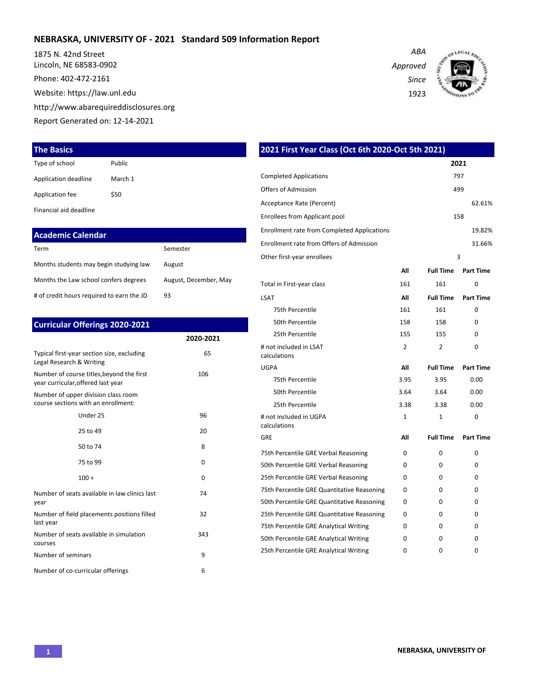### **NEBRASKA, UNIVERSITY OF - 2021 Standard 509 Information Report**

1875 N. 42nd Street Lincoln, NE 68583-0902

Phone: 402-472-2161

Website: https://law.unl.edu

http://www.abarequireddisclosures.org

Report Generated on: 12-14-2021

### **The Basics**

| Type of school       | <b>Public</b> |
|----------------------|---------------|
| Application deadline | March 1       |
| Application fee      | \$50          |
|                      |               |

Financial aid deadline

| <b>Academic Calendar</b>                  |                       |
|-------------------------------------------|-----------------------|
| Term                                      | Semester              |
| Months students may begin studying law    | August                |
| Months the Law school confers degrees     | August, December, May |
| # of credit hours required to earn the JD | 93                    |

| <b>Curricular Offerings 2020-2021</b>                                           |           |
|---------------------------------------------------------------------------------|-----------|
|                                                                                 | 2020-2021 |
| Typical first-year section size, excluding<br>Legal Research & Writing          | 65        |
| Number of course titles, beyond the first<br>year curricular, offered last year | 106       |
| Number of upper division class room<br>course sections with an enrollment:      |           |
| Under 25                                                                        | 96        |
| 25 to 49                                                                        | 20        |
| 50 to 74                                                                        | 8         |
| 75 to 99                                                                        | $\Omega$  |
| $100 +$                                                                         | 0         |
| Number of seats available in law clinics last<br>year                           | 74        |
| Number of field placements positions filled<br>last year                        | 32        |
| Number of seats available in simulation<br>courses                              | 343       |
| Number of seminars                                                              | 9         |
| Number of co-curricular offerings                                               | 6         |

| 2021 First Year Class (Oct 6th 2020-Oct 5th 2021)  |              |                  |                  |
|----------------------------------------------------|--------------|------------------|------------------|
|                                                    |              |                  | 2021             |
| <b>Completed Applications</b>                      |              |                  | 797              |
| <b>Offers of Admission</b>                         |              |                  | 499              |
| Acceptance Rate (Percent)                          |              |                  | 62.61%           |
| Enrollees from Applicant pool                      |              |                  | 158              |
| <b>Enrollment rate from Completed Applications</b> |              |                  | 19.82%           |
| Enrollment rate from Offers of Admission           |              |                  | 31.66%           |
| Other first-year enrollees                         |              |                  | 3                |
|                                                    | All          | <b>Full Time</b> | <b>Part Time</b> |
| Total in First-year class                          | 161          | 161              | 0                |
| <b>LSAT</b>                                        | All          | <b>Full Time</b> | <b>Part Time</b> |
| 75th Percentile                                    | 161          | 161              | 0                |
| 50th Percentile                                    | 158          | 158              | 0                |
| 25th Percentile                                    | 155          | 155              | 0                |
| # not included in LSAT<br>calculations             | 2            | 2                | $\Omega$         |
| <b>UGPA</b>                                        | All          | <b>Full Time</b> | <b>Part Time</b> |
| 75th Percentile                                    | 3.95         | 3.95             | 0.00             |
| 50th Percentile                                    | 3.64         | 3.64             | 0.00             |
| 25th Percentile                                    | 3.38         | 3.38             | 0.00             |
| # not included in UGPA<br>calculations             | $\mathbf{1}$ | 1                | $\Omega$         |
| GRE                                                | All          | <b>Full Time</b> | <b>Part Time</b> |
| 75th Percentile GRE Verbal Reasoning               | $\Omega$     | $\Omega$         | $\Omega$         |
| 50th Percentile GRE Verbal Reasoning               | 0            | 0                | 0                |
| 25th Percentile GRE Verbal Reasoning               | 0            | $\Omega$         | 0                |
| 75th Percentile GRE Quantitative Reasoning         | 0            | 0                | 0                |
| 50th Percentile GRE Quantitative Reasoning         | 0            | 0                | 0                |
| 25th Percentile GRE Quantitative Reasoning         | 0            | $\Omega$         | 0                |
| 75th Percentile GRE Analytical Writing             | 0            | 0                | 0                |
| 50th Percentile GRE Analytical Writing             | 0            | 0                | 0                |
| 25th Percentile GRE Analytical Writing             | 0            | 0                | $\Omega$         |

*Approved Since*

1923

*ABA*

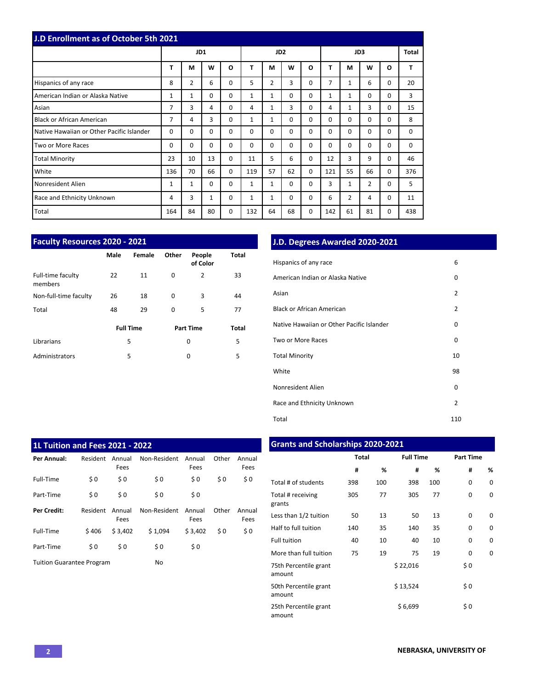| J.D Enrollment as of October 5th 2021     |              |                |              |              |              |                 |          |          |          |          |             |          |          |
|-------------------------------------------|--------------|----------------|--------------|--------------|--------------|-----------------|----------|----------|----------|----------|-------------|----------|----------|
|                                           |              | JD1            |              |              |              | JD <sub>2</sub> |          |          | JD3      |          |             |          | Total    |
|                                           | T            | M              | W            | $\mathbf{o}$ | T            | M               | W        | O        | т        | М        | W           | O        | T        |
| Hispanics of any race                     | 8            | $\overline{2}$ | 6            | $\Omega$     | 5            | $\overline{2}$  | 3        | 0        | 7        | 1        | 6           | 0        | 20       |
| American Indian or Alaska Native          | $\mathbf{1}$ | $\mathbf{1}$   | 0            | 0            | 1            | $\mathbf{1}$    | $\Omega$ | 0        | 1        | 1        | $\mathbf 0$ | 0        | 3        |
| Asian                                     | 7            | 3              | 4            | $\Omega$     | 4            | $\mathbf{1}$    | 3        | 0        | 4        | 1        | 3           | 0        | 15       |
| <b>Black or African American</b>          | 7            | 4              | 3            | $\Omega$     | $\mathbf{1}$ | $\mathbf{1}$    | $\Omega$ | 0        | $\Omega$ | $\Omega$ | $\Omega$    | $\Omega$ | 8        |
| Native Hawaiian or Other Pacific Islander | $\Omega$     | 0              | $\Omega$     | $\Omega$     | $\Omega$     | $\Omega$        | $\Omega$ | 0        | $\Omega$ | $\Omega$ | $\mathbf 0$ | 0        | 0        |
| Two or More Races                         | 0            | $\Omega$       | $\Omega$     | $\Omega$     | $\Omega$     | $\Omega$        | $\Omega$ | 0        | $\Omega$ | $\Omega$ | $\Omega$    | 0        | $\Omega$ |
| <b>Total Minority</b>                     | 23           | 10             | 13           | $\Omega$     | 11           | 5               | 6        | 0        | 12       | 3        | 9           | $\Omega$ | 46       |
| White                                     | 136          | 70             | 66           | $\Omega$     | 119          | 57              | 62       | $\Omega$ | 121      | 55       | 66          | 0        | 376      |
| Nonresident Alien                         | 1            | 1              | $\Omega$     | $\Omega$     | 1            | $\mathbf{1}$    | $\Omega$ | 0        | 3        | 1        | 2           | 0        | 5        |
| Race and Ethnicity Unknown                | 4            | 3              | $\mathbf{1}$ | 0            | 1            | $\mathbf{1}$    | 0        | 0        | 6        | 2        | 4           | 0        | 11       |
| Total                                     | 164          | 84             | 80           | 0            | 132          | 64              | 68       | 0        | 142      | 61       | 81          | 0        | 438      |

| Faculty Resources 2020 - 2021 |      |                  |          |                    |              |  |  |  |  |  |  |  |
|-------------------------------|------|------------------|----------|--------------------|--------------|--|--|--|--|--|--|--|
|                               | Male | Female           | Other    | People<br>of Color | <b>Total</b> |  |  |  |  |  |  |  |
| Full-time faculty<br>members  | 22   | 11               | $\Omega$ | 2                  | 33           |  |  |  |  |  |  |  |
| Non-full-time faculty         | 26   | 18               | $\Omega$ | 3                  | 44           |  |  |  |  |  |  |  |
| Total                         | 48   | 29               | $\Omega$ | 5                  | 77           |  |  |  |  |  |  |  |
|                               |      | <b>Full Time</b> |          | <b>Part Time</b>   | Total        |  |  |  |  |  |  |  |
| Librarians                    |      | 5                |          | 0                  | 5            |  |  |  |  |  |  |  |
| Administrators                |      | 5                |          | 0                  | 5            |  |  |  |  |  |  |  |

# **J.D. Degrees Awarded 2020-2021**

| Hispanics of any race                     | 6              |
|-------------------------------------------|----------------|
| American Indian or Alaska Native          | 0              |
| Asian                                     | $\overline{2}$ |
| <b>Black or African American</b>          | $\overline{2}$ |
| Native Hawaiian or Other Pacific Islander | 0              |
| Two or More Races                         | 0              |
| <b>Total Minority</b>                     | 10             |
| White                                     | 98             |
| Nonresident Alien                         | 0              |
| Race and Ethnicity Unknown                | $\overline{2}$ |
| Total                                     | 110            |

| 1L Tuition and Fees 2021 - 2022  |          |                |              |                |       |                |
|----------------------------------|----------|----------------|--------------|----------------|-------|----------------|
| Per Annual:                      | Resident | Annual<br>Fees | Non-Resident | Annual<br>Fees | Other | Annual<br>Fees |
| Full-Time                        | \$0      | \$0            | \$0          | \$0            | \$0   | \$0            |
| Part-Time                        | \$0      | \$0            | \$0          | \$0            |       |                |
| <b>Per Credit:</b>               | Resident | Annual<br>Fees | Non-Resident | Annual<br>Fees | Other | Annual<br>Fees |
| Full-Time                        | \$406    | \$3.402        | \$1.094      | \$3.402        | \$0   | \$0            |
| Part-Time                        | \$0      | \$0            | \$0          | \$0            |       |                |
| <b>Tuition Guarantee Program</b> |          |                | No           |                |       |                |

# **Grants and Scholarships 2020-2021**

|                                 | <b>Total</b> |     | <b>Full Time</b> |     | <b>Part Time</b> |          |  |
|---------------------------------|--------------|-----|------------------|-----|------------------|----------|--|
|                                 | #            | %   | #                | %   | #                | %        |  |
| Total # of students             | 398          | 100 | 398              | 100 | 0                | 0        |  |
| Total # receiving<br>grants     | 305          | 77  | 305              | 77  | 0                | 0        |  |
| Less than 1/2 tuition           | 50           | 13  | 50               | 13  | $\Omega$         | $\Omega$ |  |
| Half to full tuition            | 140          | 35  | 140              | 35  | $\Omega$         | 0        |  |
| <b>Full tuition</b>             | 40           | 10  | 40               | 10  | 0                | 0        |  |
| More than full tuition          | 75           | 19  | 75               | 19  | 0                | 0        |  |
| 75th Percentile grant<br>amount |              |     | \$22,016         |     | \$0              |          |  |
| 50th Percentile grant<br>amount |              |     | \$13,524         |     | \$0              |          |  |
| 25th Percentile grant<br>amount |              |     | \$6,699          |     | \$0              |          |  |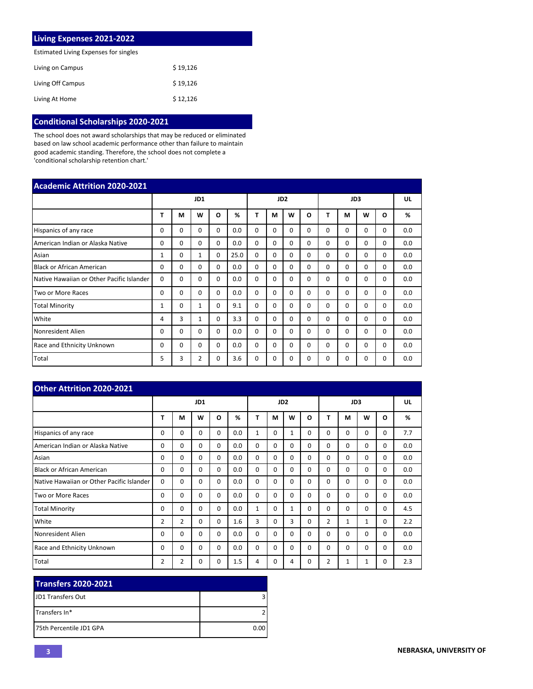| Living Expenses 2021-2022             |          |
|---------------------------------------|----------|
| Estimated Living Expenses for singles |          |
| Living on Campus                      | \$19,126 |
| Living Off Campus                     | \$19.126 |
| Living At Home                        | \$12,126 |

# **Conditional Scholarships 2020-2021**

The school does not award scholarships that may be reduced or eliminated based on law school academic performance other than failure to maintain good academic standing. Therefore, the school does not complete a 'conditional scholarship retention chart.'

| <b>Academic Attrition 2020-2021</b>       |             |          |              |          |      |          |          |                 |          |          |          |          |              |     |
|-------------------------------------------|-------------|----------|--------------|----------|------|----------|----------|-----------------|----------|----------|----------|----------|--------------|-----|
|                                           |             |          | JD1          |          |      |          |          | JD <sub>2</sub> |          | JD3      |          |          |              | UL  |
|                                           | т           | М        | w            | O        | %    | Т        | М        | W               | O        | т        | M        | W        | $\mathbf{o}$ | %   |
| Hispanics of any race                     | 0           | 0        | $\Omega$     | $\Omega$ | 0.0  | $\Omega$ | 0        | $\Omega$        | $\Omega$ | $\Omega$ | $\Omega$ | 0        | 0            | 0.0 |
| American Indian or Alaska Native          | $\Omega$    | $\Omega$ | $\Omega$     | $\Omega$ | 0.0  | $\Omega$ | $\Omega$ | $\Omega$        | $\Omega$ | $\Omega$ | $\Omega$ | 0        | $\Omega$     | 0.0 |
| Asian                                     | $\mathbf 1$ | $\Omega$ | 1            | $\Omega$ | 25.0 | $\Omega$ | $\Omega$ | $\Omega$        | 0        | $\Omega$ | $\Omega$ | $\Omega$ | $\Omega$     | 0.0 |
| <b>Black or African American</b>          | 0           | $\Omega$ | $\Omega$     | $\Omega$ | 0.0  | $\Omega$ | $\Omega$ | $\Omega$        | 0        | $\Omega$ | $\Omega$ | $\Omega$ | $\Omega$     | 0.0 |
| Native Hawaiian or Other Pacific Islander | $\Omega$    | $\Omega$ | $\Omega$     | $\Omega$ | 0.0  | $\Omega$ | $\Omega$ | $\Omega$        | 0        | $\Omega$ | 0        | 0        | 0            | 0.0 |
| Two or More Races                         | 0           | $\Omega$ | $\Omega$     | $\Omega$ | 0.0  | $\Omega$ | $\Omega$ | $\Omega$        | 0        | $\Omega$ | $\Omega$ | $\Omega$ | $\Omega$     | 0.0 |
| <b>Total Minority</b>                     | 1           | $\Omega$ | $\mathbf{1}$ | $\Omega$ | 9.1  | $\Omega$ | $\Omega$ | $\Omega$        | $\Omega$ | $\Omega$ | $\Omega$ | $\Omega$ | $\Omega$     | 0.0 |
| White                                     | 4           | 3        | 1            | $\Omega$ | 3.3  | $\Omega$ | $\Omega$ | $\Omega$        | $\Omega$ | $\Omega$ | $\Omega$ | $\Omega$ | $\Omega$     | 0.0 |
| Nonresident Alien                         | 0           | $\Omega$ | $\Omega$     | $\Omega$ | 0.0  | $\Omega$ | $\Omega$ | $\Omega$        | 0        | $\Omega$ | $\Omega$ | 0        | $\Omega$     | 0.0 |
| Race and Ethnicity Unknown                | 0           | $\Omega$ | $\Omega$     | $\Omega$ | 0.0  | 0        | $\Omega$ | $\Omega$        | $\Omega$ | $\Omega$ | $\Omega$ | 0        | $\Omega$     | 0.0 |
| Total                                     | 5           | 3        | 2            | $\Omega$ | 3.6  | $\Omega$ | 0        | $\Omega$        | $\Omega$ | $\Omega$ | $\Omega$ | $\Omega$ | $\Omega$     | 0.0 |

| <b>Other Attrition 2020-2021</b>          |                |                |          |          |     |              |          |                 |          |                |              |          |          |     |
|-------------------------------------------|----------------|----------------|----------|----------|-----|--------------|----------|-----------------|----------|----------------|--------------|----------|----------|-----|
|                                           |                |                | JD1      |          |     |              |          | JD <sub>2</sub> |          | JD3            |              |          |          | UL  |
|                                           | т              | M              | W        | O        | %   | Т            | М        | W               | O        | т              | М            | W        | O        | %   |
| Hispanics of any race                     | 0              | $\Omega$       | $\Omega$ | $\Omega$ | 0.0 | 1            | 0        | 1               | $\Omega$ | 0              | $\Omega$     | 0        | 0        | 7.7 |
| American Indian or Alaska Native          | $\Omega$       | $\Omega$       | $\Omega$ | $\Omega$ | 0.0 | $\Omega$     | $\Omega$ | $\Omega$        | $\Omega$ | $\Omega$       | $\Omega$     | $\Omega$ | $\Omega$ | 0.0 |
| Asian                                     | $\Omega$       | $\Omega$       | $\Omega$ | $\Omega$ | 0.0 | $\Omega$     | $\Omega$ | $\Omega$        | $\Omega$ | $\Omega$       | $\Omega$     | $\Omega$ | $\Omega$ | 0.0 |
| <b>Black or African American</b>          | $\Omega$       | $\Omega$       | $\Omega$ | $\Omega$ | 0.0 | $\Omega$     | $\Omega$ | $\Omega$        | $\Omega$ | $\Omega$       | $\Omega$     | $\Omega$ | $\Omega$ | 0.0 |
| Native Hawaiian or Other Pacific Islander | $\Omega$       | $\Omega$       | $\Omega$ | $\Omega$ | 0.0 | 0            | $\Omega$ | $\Omega$        | $\Omega$ | $\Omega$       | $\Omega$     | $\Omega$ | $\Omega$ | 0.0 |
| Two or More Races                         | $\Omega$       | $\Omega$       | $\Omega$ | $\Omega$ | 0.0 | $\Omega$     | $\Omega$ | $\Omega$        | $\Omega$ | $\Omega$       | $\Omega$     | 0        | $\Omega$ | 0.0 |
| <b>Total Minority</b>                     | 0              | $\Omega$       | $\Omega$ | $\Omega$ | 0.0 | $\mathbf{1}$ | $\Omega$ | $\mathbf{1}$    | $\Omega$ | 0              | $\Omega$     | $\Omega$ | $\Omega$ | 4.5 |
| White                                     | $\overline{2}$ | $\overline{2}$ | $\Omega$ | $\Omega$ | 1.6 | 3            | $\Omega$ | 3               | $\Omega$ | $\overline{2}$ | $\mathbf{1}$ | 1        | $\Omega$ | 2.2 |
| Nonresident Alien                         | 0              | $\Omega$       | $\Omega$ | $\Omega$ | 0.0 | $\Omega$     | $\Omega$ | $\Omega$        | $\Omega$ | 0              | $\Omega$     | $\Omega$ | $\Omega$ | 0.0 |
| <b>Race and Ethnicity Unknown</b>         | 0              | $\Omega$       | $\Omega$ | $\Omega$ | 0.0 | $\Omega$     | $\Omega$ | $\Omega$        | $\Omega$ | $\Omega$       | $\Omega$     | $\Omega$ | $\Omega$ | 0.0 |
| Total                                     | 2              | $\overline{2}$ | 0        | 0        | 1.5 | 4            | 0        | 4               | 0        | 2              | 1            | 1        | 0        | 2.3 |

| <b>Transfers 2020-2021</b> |      |
|----------------------------|------|
| <b>IJD1 Transfers Out</b>  |      |
| Transfers In*              |      |
| 175th Percentile JD1 GPA   | 0.00 |